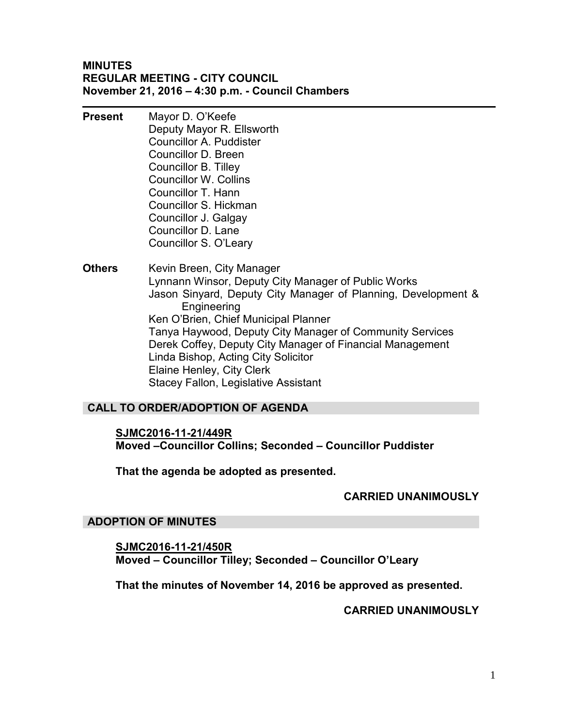#### **MINUTES REGULAR MEETING - CITY COUNCIL November 21, 2016 – 4:30 p.m. - Council Chambers**

- **Present** Mayor D. O'Keefe Deputy Mayor R. Ellsworth Councillor A. Puddister Councillor D. Breen Councillor B. Tilley Councillor W. Collins Councillor T. Hann Councillor S. Hickman Councillor J. Galgay Councillor D. Lane Councillor S. O'Leary
- **Others** Kevin Breen, City Manager Lynnann Winsor, Deputy City Manager of Public Works Jason Sinyard, Deputy City Manager of Planning, Development & Engineering Ken O'Brien, Chief Municipal Planner Tanya Haywood, Deputy City Manager of Community Services Derek Coffey, Deputy City Manager of Financial Management Linda Bishop, Acting City Solicitor Elaine Henley, City Clerk Stacey Fallon, Legislative Assistant

## **CALL TO ORDER/ADOPTION OF AGENDA**

**SJMC2016-11-21/449R Moved –Councillor Collins; Seconded – Councillor Puddister** 

**That the agenda be adopted as presented.** 

## **CARRIED UNANIMOUSLY**

## **ADOPTION OF MINUTES**

**SJMC2016-11-21/450R Moved – Councillor Tilley; Seconded – Councillor O'Leary** 

**That the minutes of November 14, 2016 be approved as presented.** 

**CARRIED UNANIMOUSLY**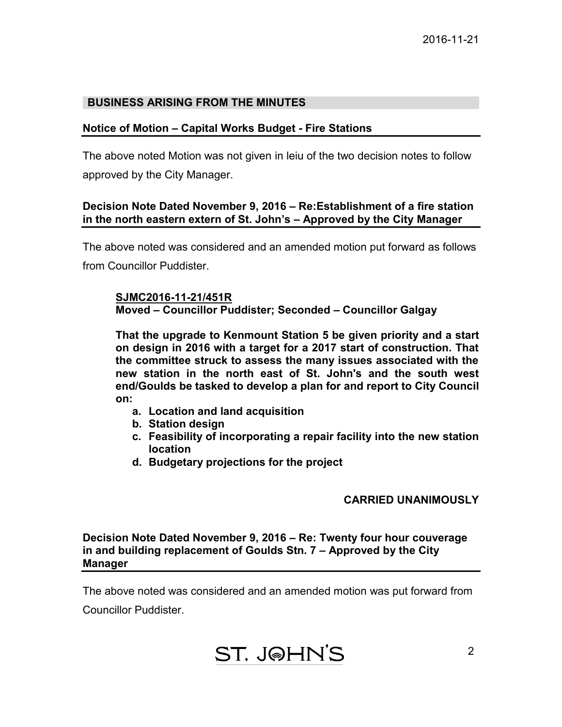## **BUSINESS ARISING FROM THE MINUTES**

## **Notice of Motion – Capital Works Budget - Fire Stations**

The above noted Motion was not given in leiu of the two decision notes to follow approved by the City Manager.

## **Decision Note Dated November 9, 2016 – Re:Establishment of a fire station in the north eastern extern of St. John's – Approved by the City Manager**

The above noted was considered and an amended motion put forward as follows from Councillor Puddister.

#### **SJMC2016-11-21/451R Moved – Councillor Puddister; Seconded – Councillor Galgay**

**That the upgrade to Kenmount Station 5 be given priority and a start on design in 2016 with a target for a 2017 start of construction. That the committee struck to assess the many issues associated with the new station in the north east of St. John's and the south west end/Goulds be tasked to develop a plan for and report to City Council on:**

- **a. Location and land acquisition**
- **b. Station design**
- **c. Feasibility of incorporating a repair facility into the new station location**
- **d. Budgetary projections for the project**

## **CARRIED UNANIMOUSLY**

**Decision Note Dated November 9, 2016 – Re: Twenty four hour couverage in and building replacement of Goulds Stn. 7 – Approved by the City Manager** 

The above noted was considered and an amended motion was put forward from

Councillor Puddister.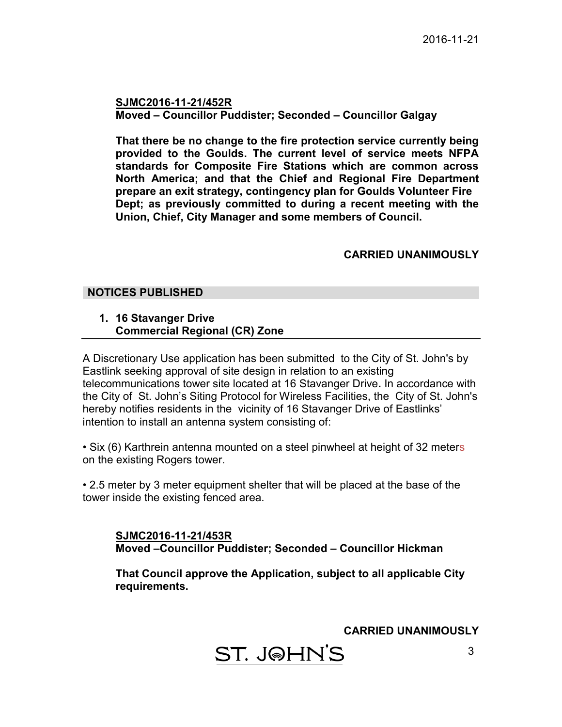**SJMC2016-11-21/452R Moved – Councillor Puddister; Seconded – Councillor Galgay** 

**That there be no change to the fire protection service currently being provided to the Goulds. The current level of service meets NFPA standards for Composite Fire Stations which are common across North America; and that the Chief and Regional Fire Department prepare an exit strategy, contingency plan for Goulds Volunteer Fire Dept; as previously committed to during a recent meeting with the Union, Chief, City Manager and some members of Council.** 

## **CARRIED UNANIMOUSLY**

#### **NOTICES PUBLISHED**

**1. 16 Stavanger Drive Commercial Regional (CR) Zone** 

A Discretionary Use application has been submitted to the City of St. John's by Eastlink seeking approval of site design in relation to an existing telecommunications tower site located at 16 Stavanger Drive**.** In accordance with the City of St. John's Siting Protocol for Wireless Facilities, the City of St. John's hereby notifies residents in the vicinity of 16 Stavanger Drive of Eastlinks' intention to install an antenna system consisting of:

• Six (6) Karthrein antenna mounted on a steel pinwheel at height of 32 meters on the existing Rogers tower.

• 2.5 meter by 3 meter equipment shelter that will be placed at the base of the tower inside the existing fenced area.

**SJMC2016-11-21/453R Moved –Councillor Puddister; Seconded – Councillor Hickman** 

**That Council approve the Application, subject to all applicable City requirements.** 

**CARRIED UNANIMOUSLY** 

ST. J@HN'S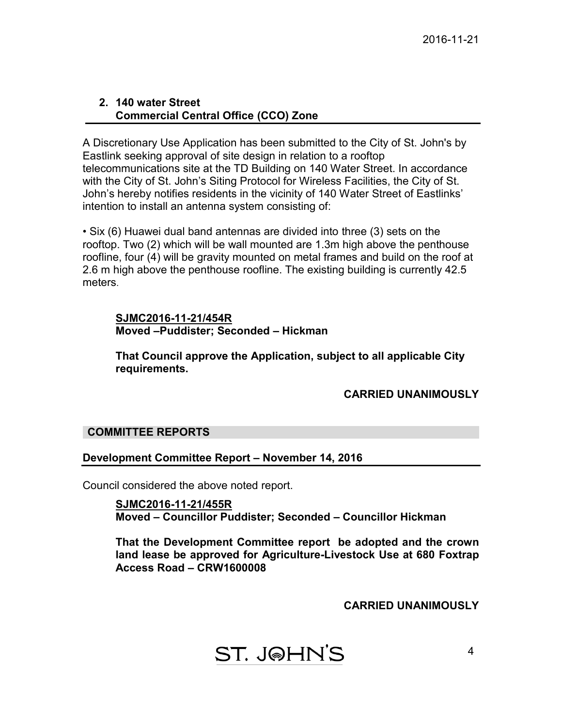#### **2. 140 water Street Commercial Central Office (CCO) Zone**

A Discretionary Use Application has been submitted to the City of St. John's by Eastlink seeking approval of site design in relation to a rooftop telecommunications site at the TD Building on 140 Water Street. In accordance with the City of St. John's Siting Protocol for Wireless Facilities, the City of St. John's hereby notifies residents in the vicinity of 140 Water Street of Eastlinks' intention to install an antenna system consisting of:

• Six (6) Huawei dual band antennas are divided into three (3) sets on the rooftop. Two (2) which will be wall mounted are 1.3m high above the penthouse roofline, four (4) will be gravity mounted on metal frames and build on the roof at 2.6 m high above the penthouse roofline. The existing building is currently 42.5 meters.

## **SJMC2016-11-21/454R Moved –Puddister; Seconded – Hickman**

**That Council approve the Application, subject to all applicable City requirements.** 

## **CARRIED UNANIMOUSLY**

## **COMMITTEE REPORTS**

## **Development Committee Report – November 14, 2016**

Council considered the above noted report.

**SJMC2016-11-21/455R Moved – Councillor Puddister; Seconded – Councillor Hickman** 

**That the Development Committee report be adopted and the crown land lease be approved for Agriculture-Livestock Use at 680 Foxtrap Access Road – CRW1600008** 

**CARRIED UNANIMOUSLY**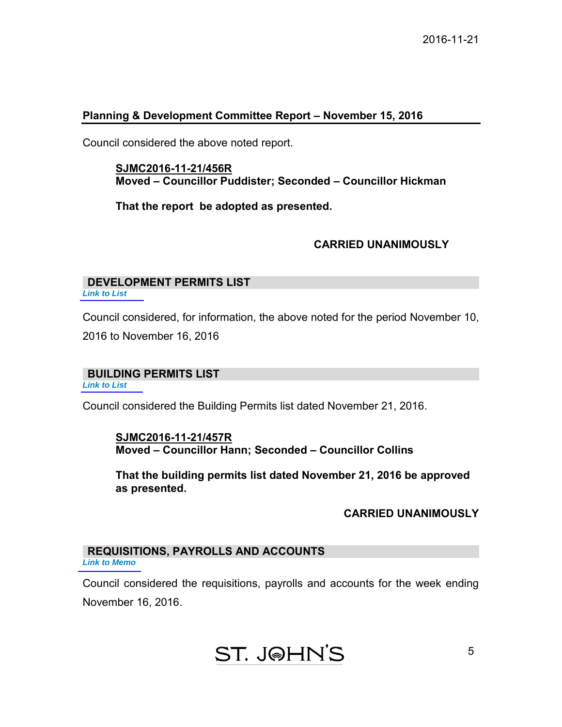#### **Planning & Development Committee Report – November 15, 2016**

Council considered the above noted report.

**SJMC2016-11-21/456R Moved – Councillor Puddister; Seconded – Councillor Hickman** 

**That the report be adopted as presented.** 

## **CARRIED UNANIMOUSLY**

# **DEVELOPMENT PERMITS LIST**

*[Link to List](#page-9-0)* 

Council considered, for information, the above noted for the period November 10, 2016 to November 16, 2016

#### **BUILDING PERMITS LIST**

*[Link to List](#page-10-0)* 

Council considered the Building Permits list dated November 21, 2016.

**SJMC2016-11-21/457R Moved – Councillor Hann; Seconded – Councillor Collins** 

**That the building permits list dated November 21, 2016 be approved as presented.** 

## **CARRIED UNANIMOUSLY**

5

#### **REQUISITIONS, PAYROLLS AND ACCOUNTS** *[Link to Memo](#page-13-0)*

Council considered the requisitions, payrolls and accounts for the week ending November 16, 2016.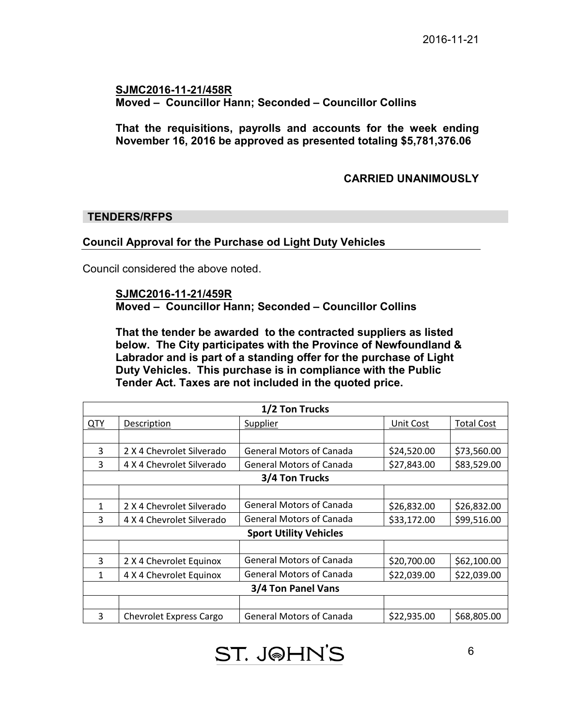## **SJMC2016-11-21/458R Moved – Councillor Hann; Seconded – Councillor Collins**

**That the requisitions, payrolls and accounts for the week ending November 16, 2016 be approved as presented totaling \$5,781,376.06** 

## **CARRIED UNANIMOUSLY**

## **TENDERS/RFPS**

## **Council Approval for the Purchase od Light Duty Vehicles**

Council considered the above noted.

#### **SJMC2016-11-21/459R**

**Moved – Councillor Hann; Seconded – Councillor Collins** 

**That the tender be awarded to the contracted suppliers as listed below. The City participates with the Province of Newfoundland & Labrador and is part of a standing offer for the purchase of Light Duty Vehicles. This purchase is in compliance with the Public Tender Act. Taxes are not included in the quoted price.**

| 1/2 Ton Trucks                |                                |                                 |             |                   |  |
|-------------------------------|--------------------------------|---------------------------------|-------------|-------------------|--|
| <b>QTY</b>                    | <b>Description</b>             | <b>Supplier</b>                 | Unit Cost   | <b>Total Cost</b> |  |
|                               |                                |                                 |             |                   |  |
| 3                             | 2 X 4 Chevrolet Silverado      | <b>General Motors of Canada</b> | \$24,520.00 | \$73,560.00       |  |
| 3                             | 4 X 4 Chevrolet Silverado      | <b>General Motors of Canada</b> | \$27,843.00 | \$83,529.00       |  |
| 3/4 Ton Trucks                |                                |                                 |             |                   |  |
|                               |                                |                                 |             |                   |  |
| 1                             | 2 X 4 Chevrolet Silverado      | <b>General Motors of Canada</b> | \$26,832.00 | \$26,832.00       |  |
| 3                             | 4 X 4 Chevrolet Silverado      | General Motors of Canada        | \$33,172.00 | \$99,516.00       |  |
| <b>Sport Utility Vehicles</b> |                                |                                 |             |                   |  |
|                               |                                |                                 |             |                   |  |
| 3                             | 2 X 4 Chevrolet Equinox        | <b>General Motors of Canada</b> | \$20,700.00 | \$62,100.00       |  |
| 1                             | 4 X 4 Chevrolet Equinox        | <b>General Motors of Canada</b> | \$22,039.00 | \$22,039.00       |  |
| 3/4 Ton Panel Vans            |                                |                                 |             |                   |  |
|                               |                                |                                 |             |                   |  |
| 3                             | <b>Chevrolet Express Cargo</b> | <b>General Motors of Canada</b> | \$22,935.00 | \$68,805.00       |  |

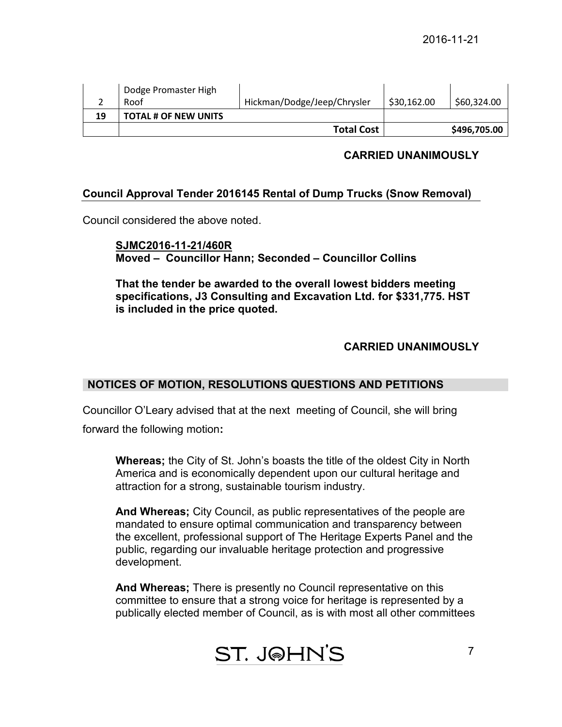|    | Dodge Promaster High<br>Roof | Hickman/Dodge/Jeep/Chrysler | \$30,162.00 | \$60,324.00  |
|----|------------------------------|-----------------------------|-------------|--------------|
| 19 | <b>TOTAL # OF NEW UNITS</b>  |                             |             |              |
|    |                              | <b>Total Cost</b>           |             | \$496,705.00 |

## **CARRIED UNANIMOUSLY**

## **Council Approval Tender 2016145 Rental of Dump Trucks (Snow Removal)**

Council considered the above noted.

## **SJMC2016-11-21/460R Moved – Councillor Hann; Seconded – Councillor Collins**

 **That the tender be awarded to the overall lowest bidders meeting specifications, J3 Consulting and Excavation Ltd. for \$331,775. HST is included in the price quoted.**

## **CARRIED UNANIMOUSLY**

## **NOTICES OF MOTION, RESOLUTIONS QUESTIONS AND PETITIONS**

Councillor O'Leary advised that at the next meeting of Council, she will bring

forward the following motion**:** 

**Whereas;** the City of St. John's boasts the title of the oldest City in North America and is economically dependent upon our cultural heritage and attraction for a strong, sustainable tourism industry.

**And Whereas;** City Council, as public representatives of the people are mandated to ensure optimal communication and transparency between the excellent, professional support of The Heritage Experts Panel and the public, regarding our invaluable heritage protection and progressive development.

**And Whereas;** There is presently no Council representative on this committee to ensure that a strong voice for heritage is represented by a publically elected member of Council, as is with most all other committees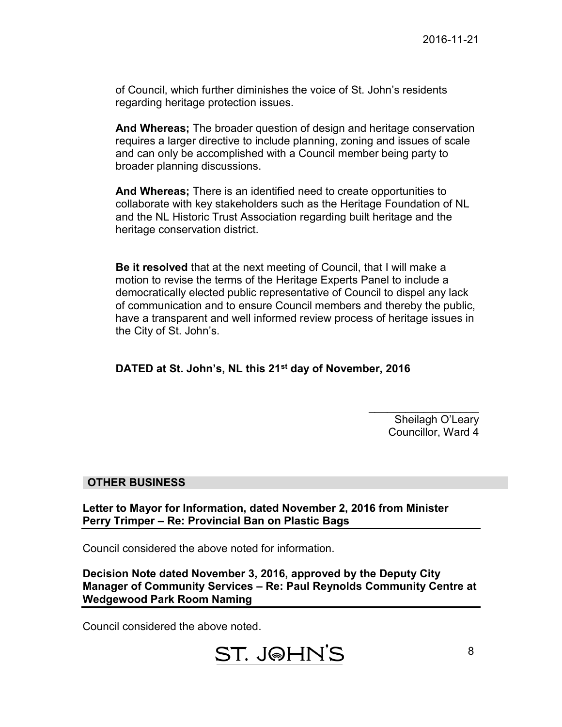of Council, which further diminishes the voice of St. John's residents regarding heritage protection issues.

**And Whereas;** The broader question of design and heritage conservation requires a larger directive to include planning, zoning and issues of scale and can only be accomplished with a Council member being party to broader planning discussions.

**And Whereas;** There is an identified need to create opportunities to collaborate with key stakeholders such as the Heritage Foundation of NL and the NL Historic Trust Association regarding built heritage and the heritage conservation district.

**Be it resolved** that at the next meeting of Council, that I will make a motion to revise the terms of the Heritage Experts Panel to include a democratically elected public representative of Council to dispel any lack of communication and to ensure Council members and thereby the public, have a transparent and well informed review process of heritage issues in the City of St. John's.

**DATED at St. John's, NL this 21st day of November, 2016** 

 $\overline{\phantom{a}}$  , where  $\overline{\phantom{a}}$ Sheilagh O'Leary Councillor, Ward 4

## **OTHER BUSINESS**

**Letter to Mayor for Information, dated November 2, 2016 from Minister Perry Trimper – Re: Provincial Ban on Plastic Bags** 

Council considered the above noted for information.

**Decision Note dated November 3, 2016, approved by the Deputy City Manager of Community Services – Re: Paul Reynolds Community Centre at Wedgewood Park Room Naming** 

Council considered the above noted.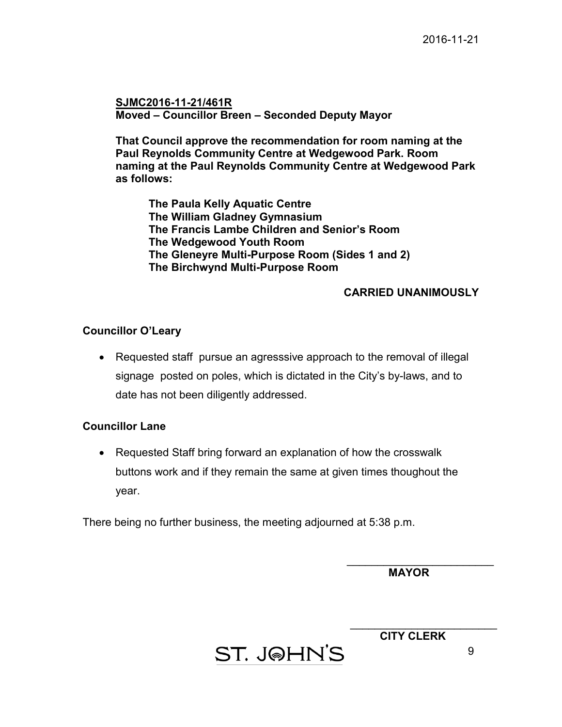**SJMC2016-11-21/461R Moved – Councillor Breen – Seconded Deputy Mayor** 

**That Council approve the recommendation for room naming at the Paul Reynolds Community Centre at Wedgewood Park. Room naming at the Paul Reynolds Community Centre at Wedgewood Park as follows:** 

 **The Paula Kelly Aquatic Centre The William Gladney Gymnasium The Francis Lambe Children and Senior's Room The Wedgewood Youth Room The Gleneyre Multi-Purpose Room (Sides 1 and 2) The Birchwynd Multi-Purpose Room** 

## **CARRIED UNANIMOUSLY**

#### **Councillor O'Leary**

• Requested staff pursue an agresssive approach to the removal of illegal signage posted on poles, which is dictated in the City's by-laws, and to date has not been diligently addressed.

#### **Councillor Lane**

• Requested Staff bring forward an explanation of how the crosswalk buttons work and if they remain the same at given times thoughout the year.

There being no further business, the meeting adjourned at 5:38 p.m.

 **MAYOR** 

 $\overline{\phantom{a}}$  , where  $\overline{\phantom{a}}$  , where  $\overline{\phantom{a}}$  , where  $\overline{\phantom{a}}$  , where  $\overline{\phantom{a}}$ 

 $\overline{\phantom{a}}$  , where  $\overline{\phantom{a}}$  , where  $\overline{\phantom{a}}$  , where  $\overline{\phantom{a}}$  , where  $\overline{\phantom{a}}$ **CITY CLERK** 

ST. J@HN'S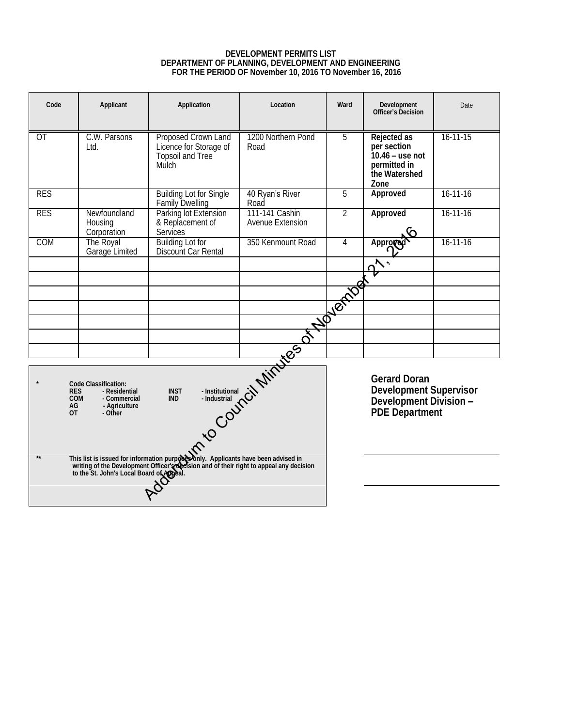#### **DEVELOPMENT PERMITS LIST DEPARTMENT OF PLANNING, DEVELOPMENT AND ENGINEERING FOR THE PERIOD OF November 10, 2016 TO November 16, 2016**

<span id="page-9-0"></span>

| Code                                                                                    | Applicant                              | Application                                                                | Location                                         | Ward | Development<br>Officer's Decision                                                        | Date           |
|-----------------------------------------------------------------------------------------|----------------------------------------|----------------------------------------------------------------------------|--------------------------------------------------|------|------------------------------------------------------------------------------------------|----------------|
| OT                                                                                      | C.W. Parsons<br>Ltd.                   | Proposed Crown Land<br>Licence for Storage of<br>Topsoil and Tree<br>Mulch | 1200 Northern Pond<br>Road                       | 5    | Rejected as<br>per section<br>$10.46 -$ use not<br>permitted in<br>the Watershed<br>Zone | $16 - 11 - 15$ |
| <b>RES</b>                                                                              |                                        | <b>Building Lot for Single</b><br><b>Family Dwelling</b>                   | 40 Ryan's River<br>Road                          | 5    | Approved                                                                                 | $16 - 11 - 16$ |
| <b>RES</b>                                                                              | Newfoundland<br>Housing<br>Corporation | Parking lot Extension<br>& Replacement of<br>Services                      | 111-141 Cashin<br>Avenue Extension               | 2    | Approved                                                                                 | $16 - 11 - 16$ |
| COM                                                                                     | The Royal<br>Garage Limited            | <b>Building Lot for</b><br>Discount Car Rental                             | 350 Kenmount Road                                | 4    | Approve                                                                                  | $16 - 11 - 16$ |
|                                                                                         |                                        |                                                                            |                                                  |      | $\mathsf{v}_\mathsf{c}$                                                                  |                |
|                                                                                         |                                        |                                                                            |                                                  |      |                                                                                          |                |
|                                                                                         |                                        |                                                                            |                                                  |      |                                                                                          |                |
|                                                                                         |                                        |                                                                            |                                                  |      |                                                                                          |                |
|                                                                                         |                                        |                                                                            |                                                  |      |                                                                                          |                |
|                                                                                         |                                        |                                                                            |                                                  |      |                                                                                          |                |
| This list is issued for information pure <b>NSP</b> (Nov Applicants have been advised). |                                        |                                                                            | Development Supervisor<br>Development Division - |      |                                                                                          |                |
|                                                                                         |                                        |                                                                            |                                                  |      |                                                                                          |                |
|                                                                                         |                                        |                                                                            |                                                  |      |                                                                                          |                |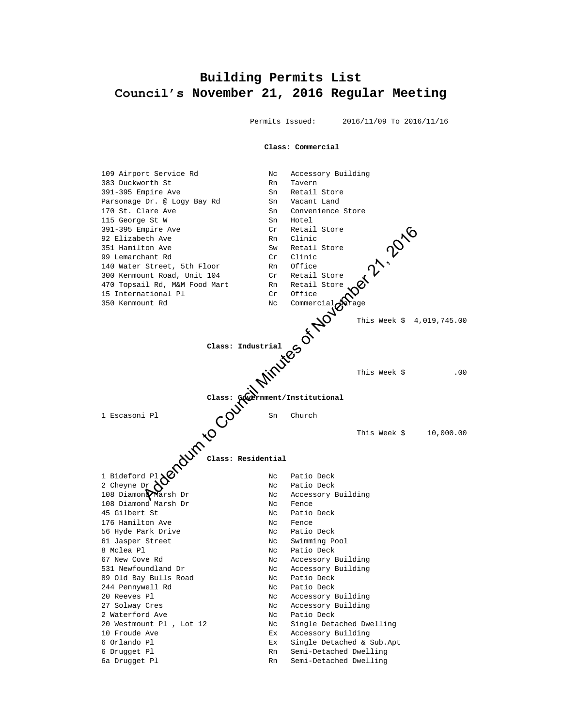## <span id="page-10-0"></span>**Building Permits List Council's November 21, 2016 Regular Meeting**

Permits Issued: 2016/11/09 To 2016/11/16

**Class: Commercial**

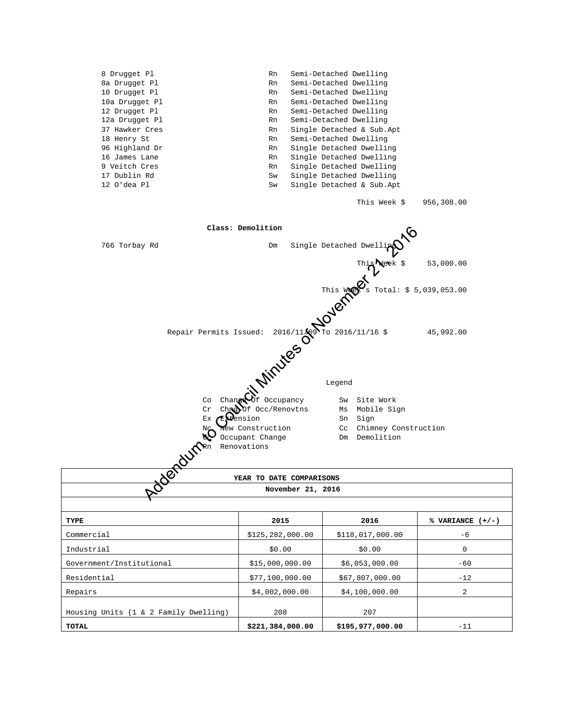| 8 Drugget Pl<br>8a Drugget Pl<br>10 Drugget Pl<br>10a Drugget Pl<br>12 Drugget Pl<br>12a Drugget Pl<br>37 Hawker Cres<br>18 Henry St<br>96 Highland Dr<br>16 James Lane<br>9 Veitch Cres<br>17 Dublin Rd<br>12 O'dea Pl | Rn<br>Rn<br>Rn<br>Rn<br>Rn<br>Rn<br>Rn<br>Rn<br>Rn<br>Rn<br>Rn<br>Sw<br>Sw | Semi-Detached Dwelling<br>Semi-Detached Dwelling<br>Semi-Detached Dwelling<br>Semi-Detached Dwelling<br>Semi-Detached Dwelling<br>Semi-Detached Dwelling<br>Single Detached & Sub.Apt<br>Semi-Detached Dwelling<br>Single Detached Dwelling<br>Single Detached Dwelling<br>Single Detached Dwelling<br>Single Detached Dwelling<br>Single Detached & Sub.Apt |                    |
|-------------------------------------------------------------------------------------------------------------------------------------------------------------------------------------------------------------------------|----------------------------------------------------------------------------|--------------------------------------------------------------------------------------------------------------------------------------------------------------------------------------------------------------------------------------------------------------------------------------------------------------------------------------------------------------|--------------------|
|                                                                                                                                                                                                                         |                                                                            | This Week \$                                                                                                                                                                                                                                                                                                                                                 | 956,308.00         |
|                                                                                                                                                                                                                         | Class: Demolition                                                          |                                                                                                                                                                                                                                                                                                                                                              |                    |
| 766 Torbay Rd                                                                                                                                                                                                           | Dm                                                                         | Single Detached Dwell                                                                                                                                                                                                                                                                                                                                        |                    |
|                                                                                                                                                                                                                         |                                                                            |                                                                                                                                                                                                                                                                                                                                                              |                    |
|                                                                                                                                                                                                                         |                                                                            | This Metal: \$ 53,000.0                                                                                                                                                                                                                                                                                                                                      |                    |
|                                                                                                                                                                                                                         | ssued: 2016/11/20101011/16 \$<br>Repair Permits Issued:                    |                                                                                                                                                                                                                                                                                                                                                              |                    |
|                                                                                                                                                                                                                         |                                                                            |                                                                                                                                                                                                                                                                                                                                                              |                    |
| Co<br>Cr                                                                                                                                                                                                                | Of Occupancy<br>Change<br>Chrobof Occ/Renovtns                             | Sw Site Work<br>Ms Mobile Sign                                                                                                                                                                                                                                                                                                                               |                    |
| Еx<br>NC<br>8Ę.<br><b>OUTPR</b>                                                                                                                                                                                         | ension<br>New Construction<br>Occupant Change<br>Renovations               | Sn Sign<br>Cc Chimney Construction<br>Dm Demolition                                                                                                                                                                                                                                                                                                          |                    |
| <b>Per</b>                                                                                                                                                                                                              | YEAR TO DATE COMPARISONS                                                   |                                                                                                                                                                                                                                                                                                                                                              |                    |
|                                                                                                                                                                                                                         | November 21, 2016                                                          |                                                                                                                                                                                                                                                                                                                                                              |                    |
|                                                                                                                                                                                                                         |                                                                            |                                                                                                                                                                                                                                                                                                                                                              |                    |
| TYPE                                                                                                                                                                                                                    | 2015<br>\$125, 282, 000.00                                                 | 2016                                                                                                                                                                                                                                                                                                                                                         | % VARIANCE $(+/-)$ |
| Commercial<br>Industrial                                                                                                                                                                                                | \$0.00                                                                     | \$118,017,000.00<br>\$0.00                                                                                                                                                                                                                                                                                                                                   | -6<br>0            |
| Government/Institutional                                                                                                                                                                                                | \$15,000,000.00                                                            | \$6,053,000.00                                                                                                                                                                                                                                                                                                                                               | $-60$              |
| Residential                                                                                                                                                                                                             | \$77,100,000.00                                                            | \$67,807,000.00                                                                                                                                                                                                                                                                                                                                              | $-12$              |
| Repairs                                                                                                                                                                                                                 | \$4,002,000.00                                                             | \$4,100,000.00                                                                                                                                                                                                                                                                                                                                               | 2                  |
|                                                                                                                                                                                                                         |                                                                            |                                                                                                                                                                                                                                                                                                                                                              |                    |

Housing Units (1 & 2 Family Dwelling) 208 207

**TOTAL \$221,384,000.00 \$195,977,000.00** -11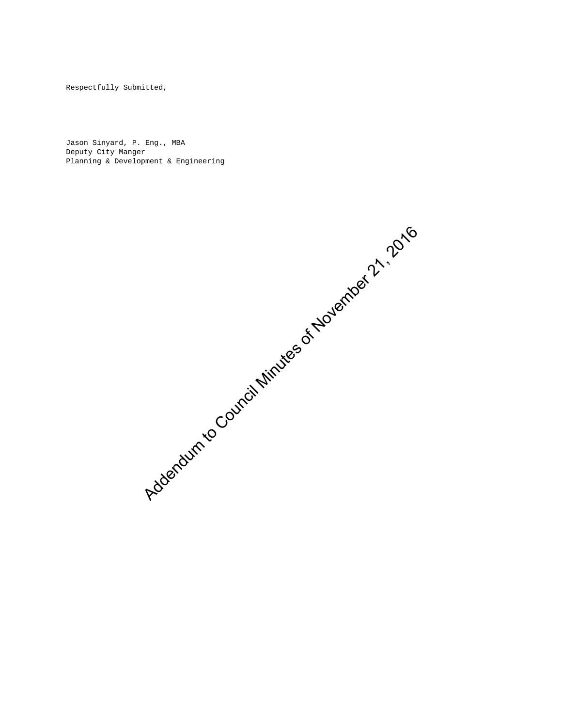Respectfully Submitted,

Jason Sinyard, P. Eng., MBA Deputy City Manger Planning & Development & Engineering

Addendum to Council Minutes of November 2, 2016